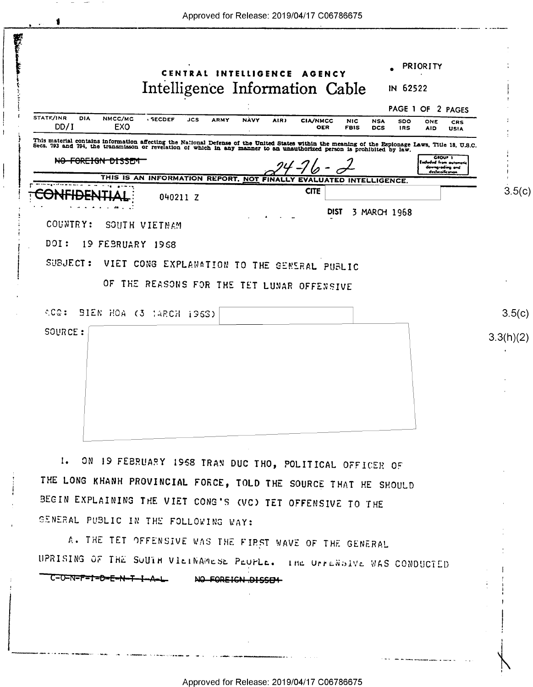| CENTRAL INTELLIGENCE AGENCY                                                                                                                                                                                                       |                                                                    | PRIORITY                                                                                 |           |
|-----------------------------------------------------------------------------------------------------------------------------------------------------------------------------------------------------------------------------------|--------------------------------------------------------------------|------------------------------------------------------------------------------------------|-----------|
| Intelligence Information Cable                                                                                                                                                                                                    |                                                                    | <b>IN 62522</b>                                                                          |           |
| STATE/INR                                                                                                                                                                                                                         |                                                                    | PAGE 1 OF 2 PAGES                                                                        |           |
| DIA<br>NMCC/MC<br><b>SECDEF</b><br>JCS<br><b>ARMY</b><br><b>NAVY</b><br>DD/I<br>EXO                                                                                                                                               | AIR)<br><b>CIA/NMCC</b><br><b>NIC</b><br><b>OER</b><br><b>FBIS</b> | <b>NSA</b><br>SDO<br><b>ONE</b><br><b>CRS</b><br><b>DCS</b><br>1RS<br>AID<br><b>USIA</b> |           |
| This material contains information affecting the National Defense of the United States within the meaning of the Espionage Laws, Title 18, U.S.C.<br>Secs. 793 and 794, the transmisson or revelation of which in any manner to a |                                                                    |                                                                                          |           |
| <del>FOREIGN DISSET</del>                                                                                                                                                                                                         |                                                                    | GROUP <sub>1</sub><br>achuded from autom<br>downgroding ond                              |           |
| THIS IS AN INFORMATION REPORT, NOT FINALLY EVALUATED INTELLIGENCE.                                                                                                                                                                |                                                                    | declassification                                                                         |           |
| 040211 Z                                                                                                                                                                                                                          | <b>CITE</b>                                                        |                                                                                          | 3.5(c)    |
|                                                                                                                                                                                                                                   | <b>DIST</b>                                                        | 3 MARCH 1968                                                                             |           |
| COUNTRY:<br>SOUTH VIETNAM                                                                                                                                                                                                         |                                                                    |                                                                                          |           |
| DOI:<br>19 FEBRUARY 1968                                                                                                                                                                                                          |                                                                    |                                                                                          |           |
| SUBJECT:<br>VIET CONG EXPLANATION TO THE GENERAL PUBLIC                                                                                                                                                                           |                                                                    |                                                                                          |           |
| OF THE REASONS FOR THE TET LUNAR OFFENSIVE                                                                                                                                                                                        |                                                                    |                                                                                          |           |
| $CCQ$ :<br>BIEN HOA (3 1ARCH 1963)                                                                                                                                                                                                |                                                                    |                                                                                          | 3.5(c)    |
| SOURCE:                                                                                                                                                                                                                           |                                                                    |                                                                                          | 3.3(h)(2) |
|                                                                                                                                                                                                                                   |                                                                    |                                                                                          |           |
|                                                                                                                                                                                                                                   |                                                                    |                                                                                          |           |
|                                                                                                                                                                                                                                   |                                                                    |                                                                                          |           |
|                                                                                                                                                                                                                                   |                                                                    |                                                                                          |           |
|                                                                                                                                                                                                                                   |                                                                    |                                                                                          |           |
|                                                                                                                                                                                                                                   |                                                                    |                                                                                          |           |

ON 19 FEBRUARY 1968 TRAN DUC THO, POLITICAL OFFICER OF THE LONG KHANH PROVINCIAL FORCE, TOLD THE SOURCE THAT HE SHOULD BEGIN EXPLAINING THE VIET CONG'S (VC) TET OFFENSIVE TO THE GENERAL PUBLIC IN THE FOLLOWING WAY:

A. THE TET OFFENSIVE WAS THE FIRST WAVE OF THE GENERAL UPRISING OF THE SOUTH VIETNAMESE PEOPLE. THE OFFENDIVE WAS CONDUCTED ▔C<del>゠</del>O゠Ñ゠F゠!゠<del>D゠E゠N゠!゠ヿ゠</del>A゠L NO FOREIGN DISSEM